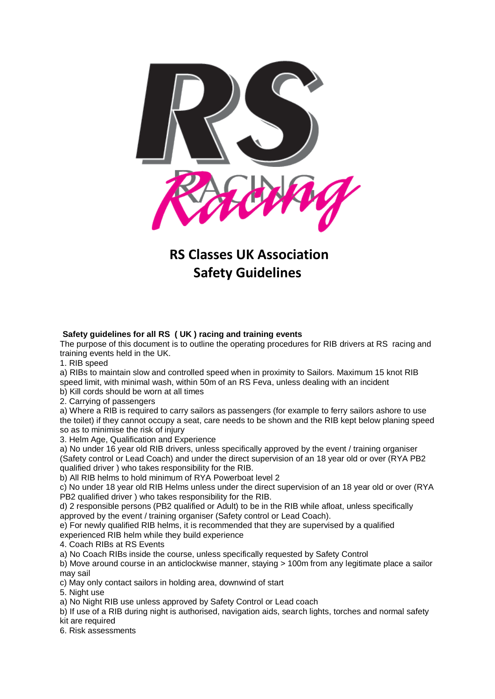

## **RS Classes UK Association Safety Guidelines**

## **Safety guidelines for all RS ( UK ) racing and training events**

The purpose of this document is to outline the operating procedures for RIB drivers at RS racing and training events held in the UK.

1. RIB speed

a) RIBs to maintain slow and controlled speed when in proximity to Sailors. Maximum 15 knot RIB speed limit, with minimal wash, within 50m of an RS Feva, unless dealing with an incident b) Kill cords should be worn at all times

2. Carrying of passengers

a) Where a RIB is required to carry sailors as passengers (for example to ferry sailors ashore to use the toilet) if they cannot occupy a seat, care needs to be shown and the RIB kept below planing speed so as to minimise the risk of injury

3. Helm Age, Qualification and Experience

a) No under 16 year old RIB drivers, unless specifically approved by the event / training organiser (Safety control or Lead Coach) and under the direct supervision of an 18 year old or over (RYA PB2 qualified driver ) who takes responsibility for the RIB.

b) All RIB helms to hold minimum of RYA Powerboat level 2

c) No under 18 year old RIB Helms unless under the direct supervision of an 18 year old or over (RYA PB2 qualified driver ) who takes responsibility for the RIB.

d) 2 responsible persons (PB2 qualified or Adult) to be in the RIB while afloat, unless specifically approved by the event / training organiser (Safety control or Lead Coach).

e) For newly qualified RIB helms, it is recommended that they are supervised by a qualified experienced RIB helm while they build experience

4. Coach RIBs at RS Events

a) No Coach RIBs inside the course, unless specifically requested by Safety Control

b) Move around course in an anticlockwise manner, staying > 100m from any legitimate place a sailor may sail

c) May only contact sailors in holding area, downwind of start

5. Night use

a) No Night RIB use unless approved by Safety Control or Lead coach

b) If use of a RIB during night is authorised, navigation aids, search lights, torches and normal safety kit are required

6. Risk assessments